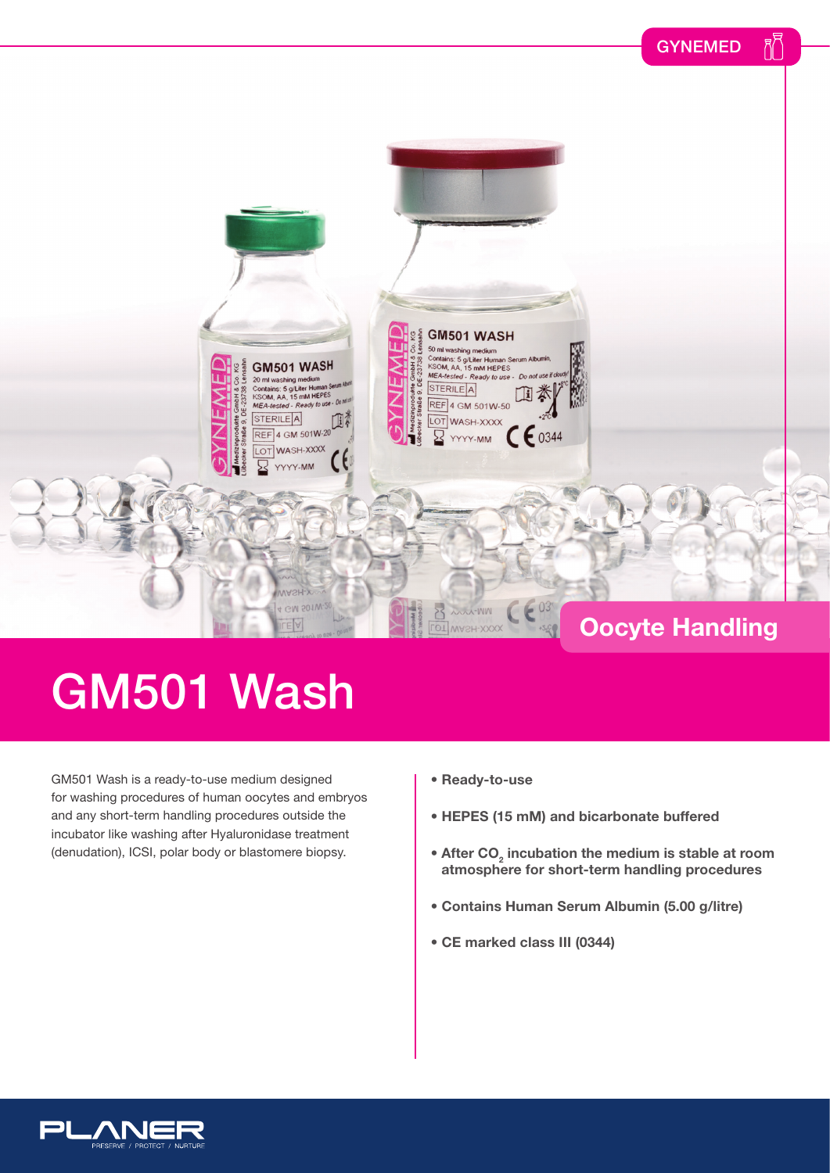

## GM501 Wash

GM501 Wash is a ready-to-use medium designed for washing procedures of human oocytes and embryos and any short-term handling procedures outside the incubator like washing after Hyaluronidase treatment (denudation), ICSI, polar body or blastomere biopsy.

- **Ready-to-use**
- **HEPES (15 mM) and bicarbonate buffered**
- **After CO<sub>2</sub> incubation the medium is stable at room atmosphere for short-term handling procedures**
- **Contains Human Serum Albumin (5.00 g/litre)**
- **CE marked class III (0344)**